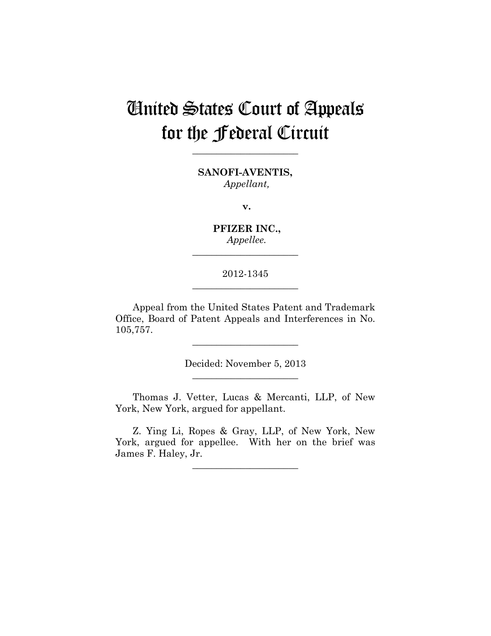# United States Court of Appeals for the Federal Circuit

**SANOFI-AVENTIS,** *Appellant,*

**\_\_\_\_\_\_\_\_\_\_\_\_\_\_\_\_\_\_\_\_\_\_** 

**v.**

**PFIZER INC.,** *Appellee.*

**\_\_\_\_\_\_\_\_\_\_\_\_\_\_\_\_\_\_\_\_\_\_** 

# 2012-1345 **\_\_\_\_\_\_\_\_\_\_\_\_\_\_\_\_\_\_\_\_\_\_**

Appeal from the United States Patent and Trademark Office, Board of Patent Appeals and Interferences in No. 105,757.

> Decided: November 5, 2013 **\_\_\_\_\_\_\_\_\_\_\_\_\_\_\_\_\_\_\_\_\_\_**

**\_\_\_\_\_\_\_\_\_\_\_\_\_\_\_\_\_\_\_\_\_\_** 

Thomas J. Vetter, Lucas & Mercanti, LLP, of New York, New York, argued for appellant.

Z. Ying Li, Ropes & Gray, LLP, of New York, New York, argued for appellee. With her on the brief was James F. Haley, Jr.

**\_\_\_\_\_\_\_\_\_\_\_\_\_\_\_\_\_\_\_\_\_\_**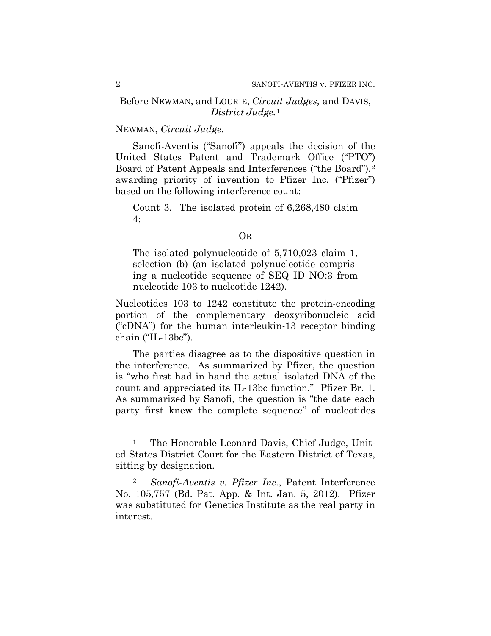## Before NEWMAN, and LOURIE, *Circuit Judges,* and DAVIS, *District Judge.*<sup>1</sup>

## NEWMAN, *Circuit Judge*.

Sanofi-Aventis ("Sanofi") appeals the decision of the United States Patent and Trademark Office ("PTO") Board of Patent Appeals and Interferences ("the Board"), 2 awarding priority of invention to Pfizer Inc. ("Pfizer") based on the following interference count:

Count 3. The isolated protein of 6,268,480 claim 4;

#### OR

The isolated polynucleotide of 5,710,023 claim 1, selection (b) (an isolated polynucleotide comprising a nucleotide sequence of SEQ ID NO:3 from nucleotide 103 to nucleotide 1242).

Nucleotides 103 to 1242 constitute the protein-encoding portion of the complementary deoxyribonucleic acid ("cDNA") for the human interleukin-13 receptor binding chain ("IL-13bc").

The parties disagree as to the dispositive question in the interference. As summarized by Pfizer, the question is "who first had in hand the actual isolated DNA of the count and appreciated its IL-13bc function." Pfizer Br. 1. As summarized by Sanofi, the question is "the date each party first knew the complete sequence" of nucleotides

 $\overline{a}$ 

<sup>&</sup>lt;sup>1</sup> The Honorable Leonard Davis, Chief Judge, United States District Court for the Eastern District of Texas, sitting by designation.

<sup>2</sup> *Sanofi-Aventis v. Pfizer Inc.*, Patent Interference No. 105,757 (Bd. Pat. App. & Int. Jan. 5, 2012). Pfizer was substituted for Genetics Institute as the real party in interest.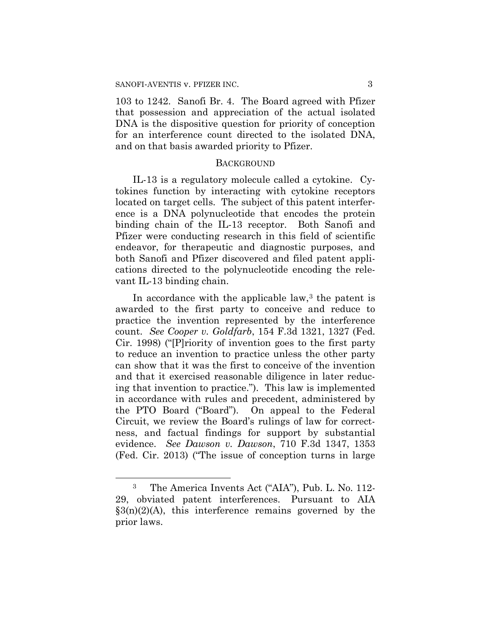103 to 1242. Sanofi Br. 4. The Board agreed with Pfizer that possession and appreciation of the actual isolated DNA is the dispositive question for priority of conception for an interference count directed to the isolated DNA, and on that basis awarded priority to Pfizer.

#### **BACKGROUND**

IL-13 is a regulatory molecule called a cytokine. Cytokines function by interacting with cytokine receptors located on target cells. The subject of this patent interference is a DNA polynucleotide that encodes the protein binding chain of the IL-13 receptor. Both Sanofi and Pfizer were conducting research in this field of scientific endeavor, for therapeutic and diagnostic purposes, and both Sanofi and Pfizer discovered and filed patent applications directed to the polynucleotide encoding the relevant IL-13 binding chain.

In accordance with the applicable law, $3$  the patent is awarded to the first party to conceive and reduce to practice the invention represented by the interference count. *See Cooper v. Goldfarb*, 154 F.3d 1321, 1327 (Fed. Cir. 1998) ("[P]riority of invention goes to the first party to reduce an invention to practice unless the other party can show that it was the first to conceive of the invention and that it exercised reasonable diligence in later reducing that invention to practice."). This law is implemented in accordance with rules and precedent, administered by the PTO Board ("Board"). On appeal to the Federal Circuit, we review the Board's rulings of law for correctness, and factual findings for support by substantial evidence. *See Dawson v. Dawson*, 710 F.3d 1347, 1353 (Fed. Cir. 2013) ("The issue of conception turns in large

 $\overline{a}$ 

<sup>3</sup> The America Invents Act ("AIA"), Pub. L. No. 112- 29, obviated patent interferences. Pursuant to AIA  $\S3(n)(2)(A)$ , this interference remains governed by the prior laws.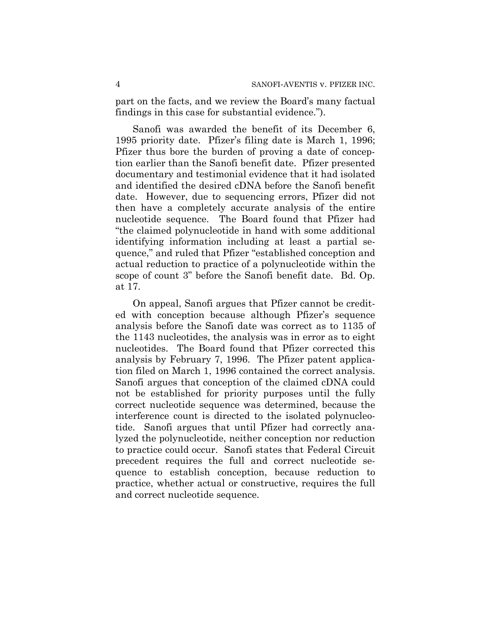part on the facts, and we review the Board's many factual findings in this case for substantial evidence.").

Sanofi was awarded the benefit of its December 6, 1995 priority date. Pfizer's filing date is March 1, 1996; Pfizer thus bore the burden of proving a date of conception earlier than the Sanofi benefit date. Pfizer presented documentary and testimonial evidence that it had isolated and identified the desired cDNA before the Sanofi benefit date. However, due to sequencing errors, Pfizer did not then have a completely accurate analysis of the entire nucleotide sequence. The Board found that Pfizer had "the claimed polynucleotide in hand with some additional identifying information including at least a partial sequence," and ruled that Pfizer "established conception and actual reduction to practice of a polynucleotide within the scope of count 3" before the Sanofi benefit date. Bd. Op. at 17.

On appeal, Sanofi argues that Pfizer cannot be credited with conception because although Pfizer's sequence analysis before the Sanofi date was correct as to 1135 of the 1143 nucleotides, the analysis was in error as to eight nucleotides. The Board found that Pfizer corrected this analysis by February 7, 1996. The Pfizer patent application filed on March 1, 1996 contained the correct analysis. Sanofi argues that conception of the claimed cDNA could not be established for priority purposes until the fully correct nucleotide sequence was determined, because the interference count is directed to the isolated polynucleotide. Sanofi argues that until Pfizer had correctly analyzed the polynucleotide, neither conception nor reduction to practice could occur. Sanofi states that Federal Circuit precedent requires the full and correct nucleotide sequence to establish conception, because reduction to practice, whether actual or constructive, requires the full and correct nucleotide sequence.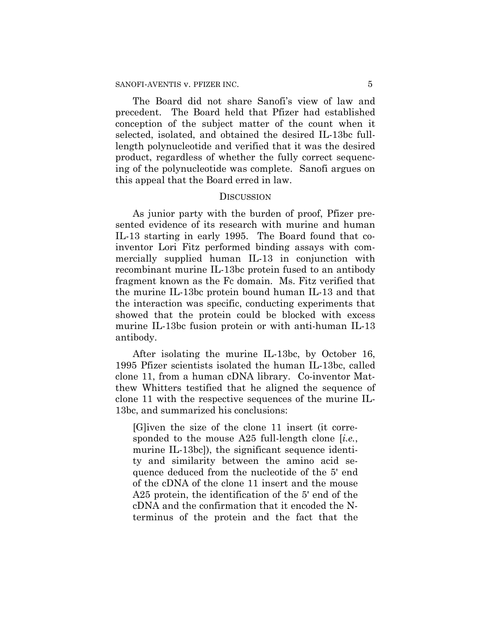The Board did not share Sanofi's view of law and precedent. The Board held that Pfizer had established conception of the subject matter of the count when it selected, isolated, and obtained the desired IL-13bc fulllength polynucleotide and verified that it was the desired product, regardless of whether the fully correct sequencing of the polynucleotide was complete. Sanofi argues on this appeal that the Board erred in law.

#### **DISCUSSION**

As junior party with the burden of proof, Pfizer presented evidence of its research with murine and human IL-13 starting in early 1995. The Board found that coinventor Lori Fitz performed binding assays with commercially supplied human IL-13 in conjunction with recombinant murine IL-13bc protein fused to an antibody fragment known as the Fc domain. Ms. Fitz verified that the murine IL-13bc protein bound human IL-13 and that the interaction was specific, conducting experiments that showed that the protein could be blocked with excess murine IL-13bc fusion protein or with anti-human IL-13 antibody.

After isolating the murine IL-13bc, by October 16, 1995 Pfizer scientists isolated the human IL-13bc, called clone 11, from a human cDNA library. Co-inventor Matthew Whitters testified that he aligned the sequence of clone 11 with the respective sequences of the murine IL-13bc, and summarized his conclusions:

[G]iven the size of the clone 11 insert (it corresponded to the mouse A25 full-length clone [*i.e.*, murine IL-13bc]), the significant sequence identity and similarity between the amino acid sequence deduced from the nucleotide of the 5' end of the cDNA of the clone 11 insert and the mouse A25 protein, the identification of the 5' end of the cDNA and the confirmation that it encoded the Nterminus of the protein and the fact that the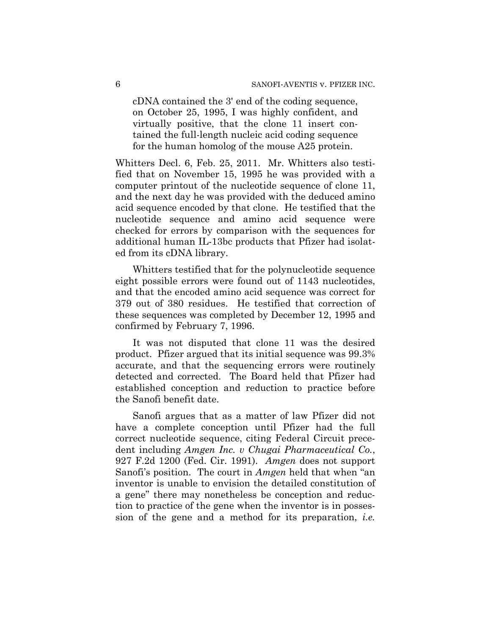cDNA contained the 3' end of the coding sequence, on October 25, 1995, I was highly confident, and virtually positive, that the clone 11 insert contained the full-length nucleic acid coding sequence for the human homolog of the mouse A25 protein.

Whitters Decl. 6, Feb. 25, 2011. Mr. Whitters also testified that on November 15, 1995 he was provided with a computer printout of the nucleotide sequence of clone 11, and the next day he was provided with the deduced amino acid sequence encoded by that clone. He testified that the nucleotide sequence and amino acid sequence were checked for errors by comparison with the sequences for additional human IL-13bc products that Pfizer had isolated from its cDNA library.

Whitters testified that for the polynucleotide sequence eight possible errors were found out of 1143 nucleotides, and that the encoded amino acid sequence was correct for 379 out of 380 residues. He testified that correction of these sequences was completed by December 12, 1995 and confirmed by February 7, 1996.

It was not disputed that clone 11 was the desired product. Pfizer argued that its initial sequence was 99.3% accurate, and that the sequencing errors were routinely detected and corrected. The Board held that Pfizer had established conception and reduction to practice before the Sanofi benefit date.

Sanofi argues that as a matter of law Pfizer did not have a complete conception until Pfizer had the full correct nucleotide sequence, citing Federal Circuit precedent including *Amgen Inc. v Chugai Pharmaceutical Co.*, 927 F.2d 1200 (Fed. Cir. 1991). *Amgen* does not support Sanofi's position. The court in *Amgen* held that when "an inventor is unable to envision the detailed constitution of a gene" there may nonetheless be conception and reduction to practice of the gene when the inventor is in possession of the gene and a method for its preparation, *i.e.*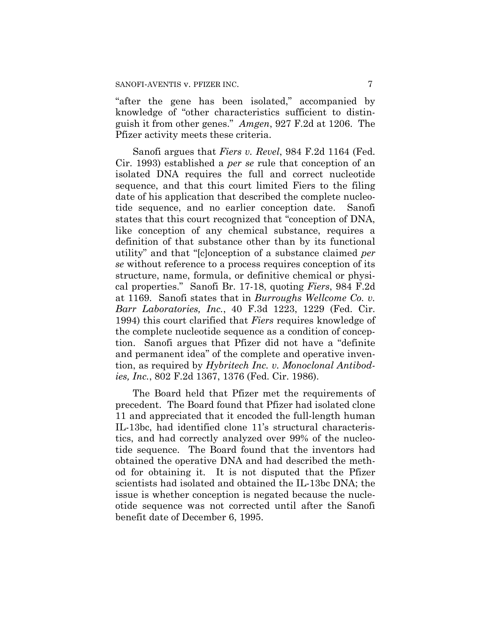"after the gene has been isolated," accompanied by knowledge of "other characteristics sufficient to distinguish it from other genes." *Amgen*, 927 F.2d at 1206. The Pfizer activity meets these criteria.

Sanofi argues that *Fiers v. Revel*, 984 F.2d 1164 (Fed. Cir. 1993) established a *per se* rule that conception of an isolated DNA requires the full and correct nucleotide sequence, and that this court limited Fiers to the filing date of his application that described the complete nucleotide sequence, and no earlier conception date. Sanofi states that this court recognized that "conception of DNA, like conception of any chemical substance, requires a definition of that substance other than by its functional utility" and that "[c]onception of a substance claimed *per se* without reference to a process requires conception of its structure, name, formula, or definitive chemical or physical properties." Sanofi Br. 17-18, quoting *Fiers*, 984 F.2d at 1169. Sanofi states that in *Burroughs Wellcome Co. v. Barr Laboratories, Inc.*, 40 F.3d 1223, 1229 (Fed. Cir. 1994) this court clarified that *Fiers* requires knowledge of the complete nucleotide sequence as a condition of conception. Sanofi argues that Pfizer did not have a "definite and permanent idea" of the complete and operative invention, as required by *Hybritech Inc. v. Monoclonal Antibodies, Inc.*, 802 F.2d 1367, 1376 (Fed. Cir. 1986).

The Board held that Pfizer met the requirements of precedent. The Board found that Pfizer had isolated clone 11 and appreciated that it encoded the full-length human IL-13bc, had identified clone 11's structural characteristics, and had correctly analyzed over 99% of the nucleotide sequence. The Board found that the inventors had obtained the operative DNA and had described the method for obtaining it. It is not disputed that the Pfizer scientists had isolated and obtained the IL-13bc DNA; the issue is whether conception is negated because the nucleotide sequence was not corrected until after the Sanofi benefit date of December 6, 1995.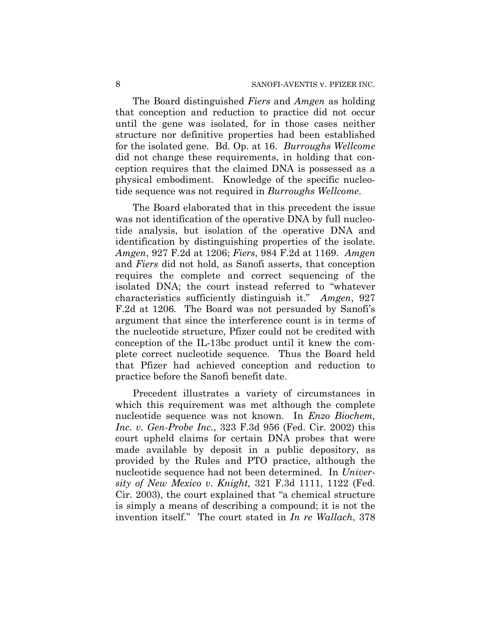The Board distinguished *Fiers* and *Amgen* as holding that conception and reduction to practice did not occur until the gene was isolated, for in those cases neither structure nor definitive properties had been established for the isolated gene. Bd. Op. at 16. *Burroughs Wellcome* did not change these requirements, in holding that conception requires that the claimed DNA is possessed as a physical embodiment. Knowledge of the specific nucleotide sequence was not required in *Burroughs Wellcome*.

The Board elaborated that in this precedent the issue was not identification of the operative DNA by full nucleotide analysis, but isolation of the operative DNA and identification by distinguishing properties of the isolate. *Amgen*, 927 F.2d at 1206; *Fiers*, 984 F.2d at 1169. *Amgen* and *Fiers* did not hold, as Sanofi asserts, that conception requires the complete and correct sequencing of the isolated DNA; the court instead referred to "whatever characteristics sufficiently distinguish it." *Amgen*, 927 F.2d at 1206*.* The Board was not persuaded by Sanofi's argument that since the interference count is in terms of the nucleotide structure, Pfizer could not be credited with conception of the IL-13bc product until it knew the complete correct nucleotide sequence. Thus the Board held that Pfizer had achieved conception and reduction to practice before the Sanofi benefit date.

Precedent illustrates a variety of circumstances in which this requirement was met although the complete nucleotide sequence was not known. In *Enzo Biochem, Inc. v. Gen-Probe Inc.*, 323 F.3d 956 (Fed. Cir. 2002) this court upheld claims for certain DNA probes that were made available by deposit in a public depository, as provided by the Rules and PTO practice, although the nucleotide sequence had not been determined. In *University of New Mexico v. Knight,* 321 F.3d 1111, 1122 (Fed. Cir. 2003), the court explained that "a chemical structure is simply a means of describing a compound; it is not the invention itself." The court stated in *In re Wallach*, 378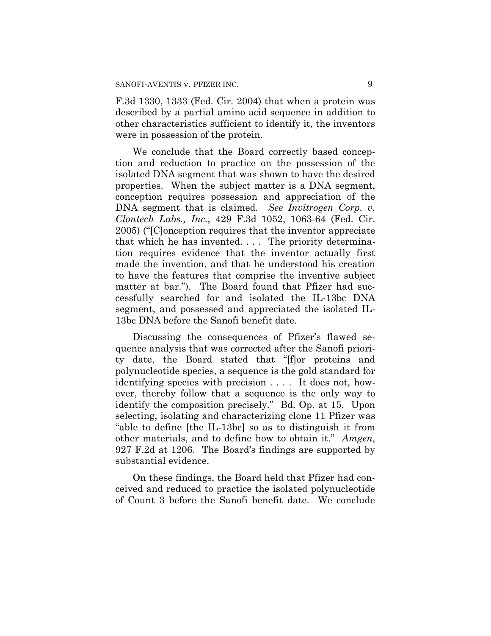F.3d 1330, 1333 (Fed. Cir. 2004) that when a protein was described by a partial amino acid sequence in addition to other characteristics sufficient to identify it, the inventors were in possession of the protein.

We conclude that the Board correctly based conception and reduction to practice on the possession of the isolated DNA segment that was shown to have the desired properties. When the subject matter is a DNA segment, conception requires possession and appreciation of the DNA segment that is claimed. *See Invitrogen Corp. v. Clontech Labs., Inc.*, 429 F.3d 1052, 1063-64 (Fed. Cir. 2005) ("[C]onception requires that the inventor appreciate that which he has invented. . . . The priority determination requires evidence that the inventor actually first made the invention, and that he understood his creation to have the features that comprise the inventive subject matter at bar."). The Board found that Pfizer had successfully searched for and isolated the IL-13bc DNA segment, and possessed and appreciated the isolated IL-13bc DNA before the Sanofi benefit date.

Discussing the consequences of Pfizer's flawed sequence analysis that was corrected after the Sanofi priority date, the Board stated that "[f]or proteins and polynucleotide species, a sequence is the gold standard for identifying species with precision . . . . It does not, however, thereby follow that a sequence is the only way to identify the composition precisely." Bd. Op. at 15. Upon selecting, isolating and characterizing clone 11 Pfizer was "able to define [the IL-13bc] so as to distinguish it from other materials, and to define how to obtain it." *Amgen*, 927 F.2d at 1206. The Board's findings are supported by substantial evidence.

On these findings, the Board held that Pfizer had conceived and reduced to practice the isolated polynucleotide of Count 3 before the Sanofi benefit date. We conclude